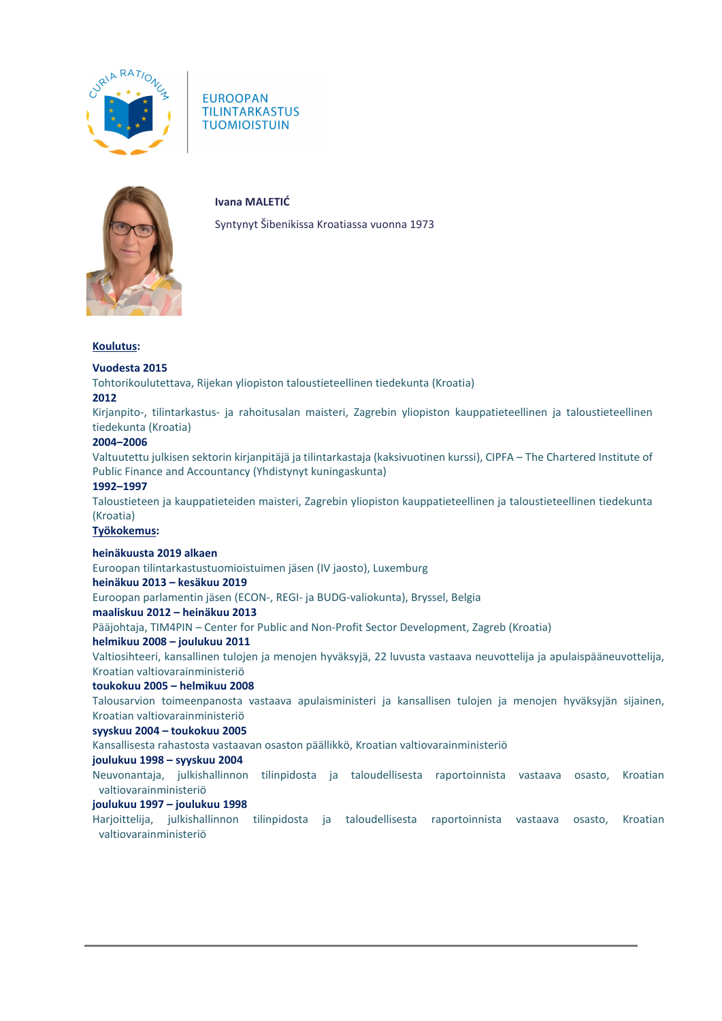

**EUROOPAN TILINTARKASTUS TUOMIOISTUIN** 



**Ivana MALETIĆ**

Syntynyt Šibenikissa Kroatiassa vuonna 1973

### **Koulutus:**

# **Vuodesta 2015**

Tohtorikoulutettava, Rijekan yliopiston taloustieteellinen tiedekunta (Kroatia)

## **2012**

Kirjanpito-, tilintarkastus- ja rahoitusalan maisteri, Zagrebin yliopiston kauppatieteellinen ja taloustieteellinen tiedekunta (Kroatia)

## **2004–2006**

Valtuutettu julkisen sektorin kirjanpitäjä ja tilintarkastaja (kaksivuotinen kurssi), CIPFA – The Chartered Institute of Public Finance and Accountancy (Yhdistynyt kuningaskunta)

## **1992–1997**

Taloustieteen ja kauppatieteiden maisteri, Zagrebin yliopiston kauppatieteellinen ja taloustieteellinen tiedekunta (Kroatia)

### **Työkokemus:**

## **heinäkuusta 2019 alkaen**

Euroopan tilintarkastustuomioistuimen jäsen (IV jaosto), Luxemburg

### **heinäkuu 2013 – kesäkuu 2019**

Euroopan parlamentin jäsen (ECON-, REGI- ja BUDG-valiokunta), Bryssel, Belgia

### **maaliskuu 2012 – heinäkuu 2013**

Pääjohtaja, TIM4PIN – Center for Public and Non-Profit Sector Development, Zagreb (Kroatia)

### **helmikuu 2008 – joulukuu 2011**

Valtiosihteeri, kansallinen tulojen ja menojen hyväksyjä, 22 luvusta vastaava neuvottelija ja apulaispääneuvottelija, Kroatian valtiovarainministeriö

## **toukokuu 2005 – helmikuu 2008**

Talousarvion toimeenpanosta vastaava apulaisministeri ja kansallisen tulojen ja menojen hyväksyjän sijainen, Kroatian valtiovarainministeriö

### **syyskuu 2004 – toukokuu 2005**

Kansallisesta rahastosta vastaavan osaston päällikkö, Kroatian valtiovarainministeriö

### **joulukuu 1998 – syyskuu 2004**

Neuvonantaja, julkishallinnon tilinpidosta ja taloudellisesta raportoinnista vastaava osasto, Kroatian valtiovarainministeriö

## **joulukuu 1997 – joulukuu 1998**

Harjoittelija, julkishallinnon tilinpidosta ja taloudellisesta raportoinnista vastaava osasto, Kroatian valtiovarainministeriö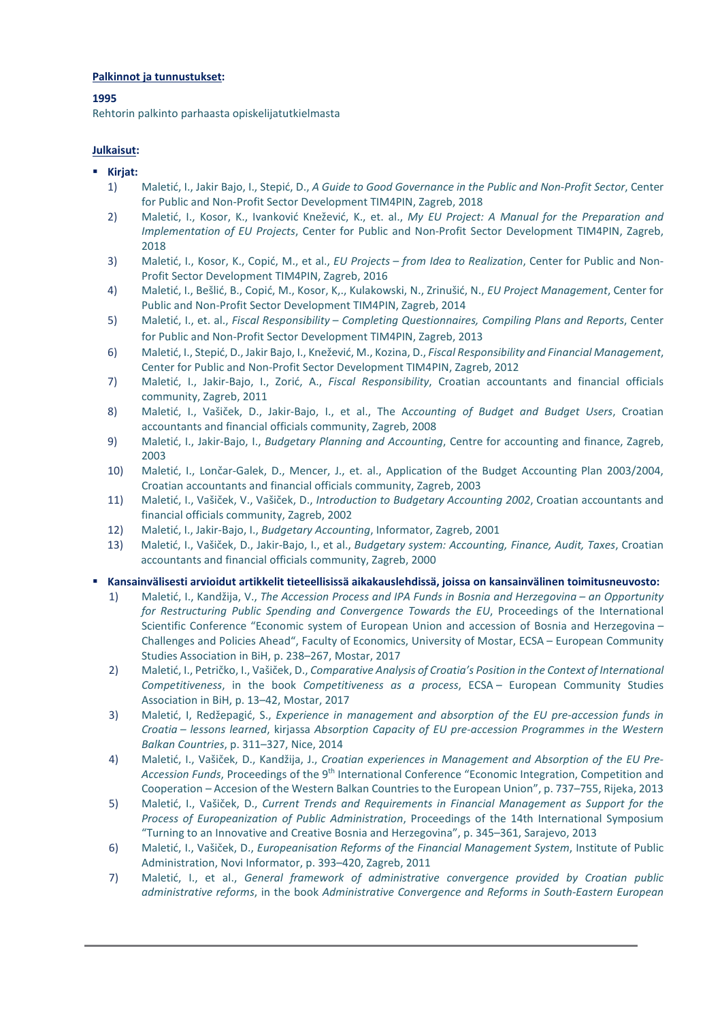# **Palkinnot ja tunnustukset:**

# **1995**

Rehtorin palkinto parhaasta opiskelijatutkielmasta

# **Julkaisut:**

- **Kirjat:**
	- 1) Maletić, I., Jakir Bajo, I., Stepić, D., *A Guide to Good Governance in the Public and Non-Profit Sector*, Center for Public and Non-Profit Sector Development TIM4PIN, Zagreb, 2018
	- 2) Maletić, I., Kosor, K., Ivanković Knežević, K., et. al., *My EU Project: A Manual for the Preparation and Implementation of EU Projects*, Center for Public and Non-Profit Sector Development TIM4PIN, Zagreb, 2018
	- 3) Maletić, I., Kosor, K., Copić, M., et al., *EU Projects – from Idea to Realization*, Center for Public and Non-Profit Sector Development TIM4PIN, Zagreb, 2016
	- 4) Maletić, I., Bešlić, B., Copić, M., Kosor, K,., Kulakowski, N., Zrinušić, N., *EU Project Management*, Center for Public and Non-Profit Sector Development TIM4PIN, Zagreb, 2014
	- 5) Maletić, I., et. al., *Fiscal Responsibility – Completing Questionnaires, Compiling Plans and Reports*, Center for Public and Non-Profit Sector Development TIM4PIN, Zagreb, 2013
	- 6) Maletić, I., Stepić, D., Jakir Bajo, I., Knežević, M., Kozina, D., *Fiscal Responsibility and Financial Management*, Center for Public and Non-Profit Sector Development TIM4PIN, Zagreb, 2012
	- 7) Maletić, I., Jakir-Bajo, I., Zorić, A., *Fiscal Responsibility*, Croatian accountants and financial officials community, Zagreb, 2011
	- 8) Maletić, I., Vašiček, D., Jakir-Bajo, I., et al., The A*ccounting of Budget and Budget Users*, Croatian accountants and financial officials community, Zagreb, 2008
	- 9) Maletić, I., Jakir-Bajo, I., *Budgetary Planning and Accounting*, Centre for accounting and finance, Zagreb, 2003
	- 10) Maletić, I., Lončar-Galek, D., Mencer, J., et. al., Application of the Budget Accounting Plan 2003/2004, Croatian accountants and financial officials community, Zagreb, 2003
	- 11) Maletić, I., Vašiček, V., Vašiček, D., *Introduction to Budgetary Accounting 2002*, Croatian accountants and financial officials community, Zagreb, 2002
	- 12) Maletić, I., Jakir-Bajo, I., *Budgetary Accounting*, Informator, Zagreb, 2001
	- 13) Maletić, I., Vašiček, D., Jakir-Bajo, I., et al., *Budgetary system: Accounting, Finance, Audit, Taxes*, Croatian accountants and financial officials community, Zagreb, 2000

## **Kansainvälisesti arvioidut artikkelit tieteellisissä aikakauslehdissä, joissa on kansainvälinen toimitusneuvosto:**

- 1) Maletić, I., Kandžija, V., *The Accession Process and IPA Funds in Bosnia and Herzegovina – an Opportunity for Restructuring Public Spending and Convergence Towards the EU*, Proceedings of the International Scientific Conference "Economic system of European Union and accession of Bosnia and Herzegovina – Challenges and Policies Ahead", Faculty of Economics, University of Mostar, ECSA – European Community Studies Association in BiH, p. 238–267, Mostar, 2017
- 2) Maletić, I., Petričko, I., Vašiček, D., *Comparative Analysis of Croatia's Position in the Context of International Competitiveness*, in the book *Competitiveness as a process*, ECSA – European Community Studies Association in BiH, p. 13–42, Mostar, 2017
- 3) Maletić, I, Redžepagić, S., *Experience in management and absorption of the EU pre-accession funds in Croatia – lessons learned*, kirjassa *Absorption Capacity of EU pre-accession Programmes in the Western Balkan Countries*, p. 311–327, Nice, 2014
- 4) Maletić, I., Vašiček, D., Kandžija, J., *Croatian experiences in Management and Absorption of the EU Pre-*Accession Funds, Proceedings of the 9<sup>th</sup> International Conference "Economic Integration, Competition and Cooperation – Accesion of the Western Balkan Countries to the European Union", p. 737–755, Rijeka, 2013
- 5) Maletić, I., Vašiček, D., *Current Trends and Requirements in Financial Management as Support for the Process of Europeanization of Public Administration*, Proceedings of the 14th International Symposium "Turning to an Innovative and Creative Bosnia and Herzegovina", p. 345–361, Sarajevo, 2013
- 6) Maletić, I., Vašiček, D., *Europeanisation Reforms of the Financial Management System*, Institute of Public Administration, Novi Informator, p. 393–420, Zagreb, 2011
- 7) Maletić, I., et al., *General framework of administrative convergence provided by Croatian public administrative reforms*, in the book *Administrative Convergence and Reforms in South-Eastern European*